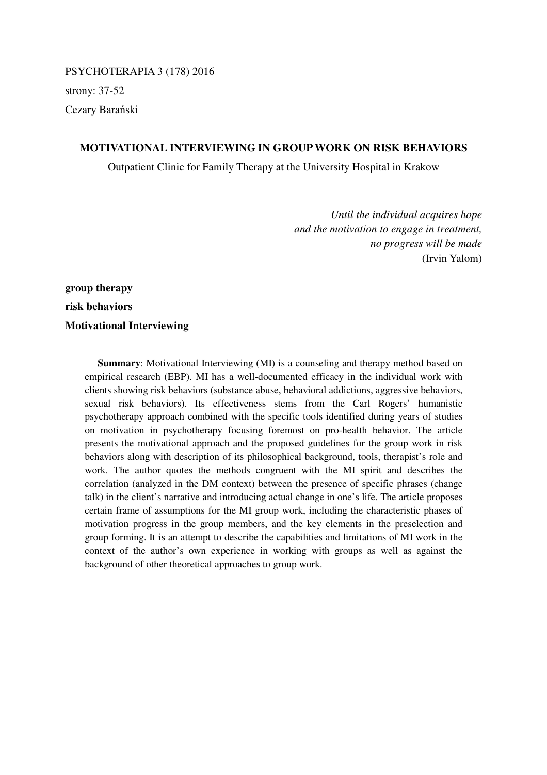PSYCHOTERAPIA 3 (178) 2016 strony: 37-52 Cezary Barański

# **MOTIVATIONAL INTERVIEWING IN GROUP WORK ON RISK BEHAVIORS**

Outpatient Clinic for Family Therapy at the University Hospital in Krakow

*Until the individual acquires hope and the motivation to engage in treatment, no progress will be made*  (Irvin Yalom)

# **group therapy risk behaviors Motivational Interviewing**

**Summary:** Motivational Interviewing (MI) is a counseling and therapy method based on empirical research (EBP). MI has a well-documented efficacy in the individual work with clients showing risk behaviors (substance abuse, behavioral addictions, aggressive behaviors, sexual risk behaviors). Its effectiveness stems from the Carl Rogers' humanistic psychotherapy approach combined with the specific tools identified during years of studies on motivation in psychotherapy focusing foremost on pro-health behavior. The article presents the motivational approach and the proposed guidelines for the group work in risk behaviors along with description of its philosophical background, tools, therapist's role and work. The author quotes the methods congruent with the MI spirit and describes the correlation (analyzed in the DM context) between the presence of specific phrases (change talk) in the client's narrative and introducing actual change in one's life. The article proposes certain frame of assumptions for the MI group work, including the characteristic phases of motivation progress in the group members, and the key elements in the preselection and group forming. It is an attempt to describe the capabilities and limitations of MI work in the context of the author's own experience in working with groups as well as against the background of other theoretical approaches to group work.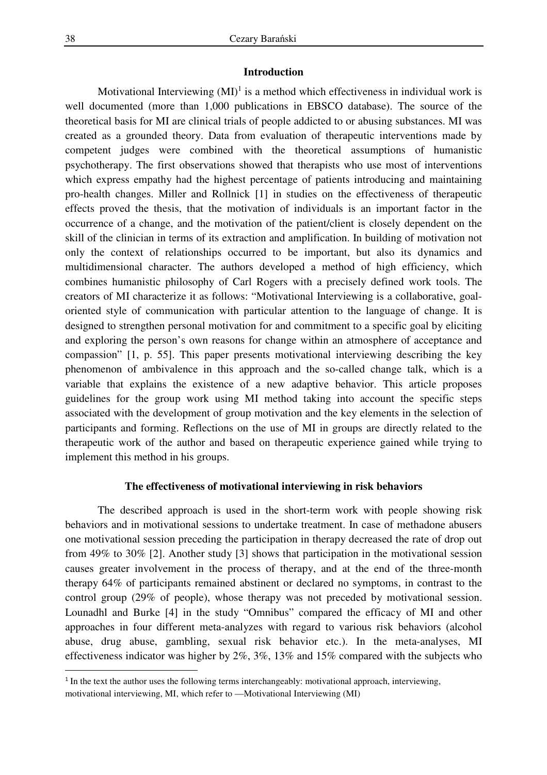# **Introduction**

Motivational Interviewing  $(MI)^{1}$  is a method which effectiveness in individual work is well documented (more than 1,000 publications in EBSCO database). The source of the theoretical basis for MI are clinical trials of people addicted to or abusing substances. MI was created as a grounded theory. Data from evaluation of therapeutic interventions made by competent judges were combined with the theoretical assumptions of humanistic psychotherapy. The first observations showed that therapists who use most of interventions which express empathy had the highest percentage of patients introducing and maintaining pro-health changes. Miller and Rollnick [1] in studies on the effectiveness of therapeutic effects proved the thesis, that the motivation of individuals is an important factor in the occurrence of a change, and the motivation of the patient/client is closely dependent on the skill of the clinician in terms of its extraction and amplification. In building of motivation not only the context of relationships occurred to be important, but also its dynamics and multidimensional character. The authors developed a method of high efficiency, which combines humanistic philosophy of Carl Rogers with a precisely defined work tools. The creators of MI characterize it as follows: "Motivational Interviewing is a collaborative, goaloriented style of communication with particular attention to the language of change. It is designed to strengthen personal motivation for and commitment to a specific goal by eliciting and exploring the person's own reasons for change within an atmosphere of acceptance and compassion" [1, p. 55]. This paper presents motivational interviewing describing the key phenomenon of ambivalence in this approach and the so-called change talk, which is a variable that explains the existence of a new adaptive behavior. This article proposes guidelines for the group work using MI method taking into account the specific steps associated with the development of group motivation and the key elements in the selection of participants and forming. Reflections on the use of MI in groups are directly related to the therapeutic work of the author and based on therapeutic experience gained while trying to implement this method in his groups.

#### **The effectiveness of motivational interviewing in risk behaviors**

 The described approach is used in the short-term work with people showing risk behaviors and in motivational sessions to undertake treatment. In case of methadone abusers one motivational session preceding the participation in therapy decreased the rate of drop out from 49% to 30% [2]. Another study [3] shows that participation in the motivational session causes greater involvement in the process of therapy, and at the end of the three-month therapy 64% of participants remained abstinent or declared no symptoms, in contrast to the control group (29% of people), whose therapy was not preceded by motivational session. Lounadhl and Burke [4] in the study "Omnibus" compared the efficacy of MI and other approaches in four different meta-analyzes with regard to various risk behaviors (alcohol abuse, drug abuse, gambling, sexual risk behavior etc.). In the meta-analyses, MI effectiveness indicator was higher by 2%, 3%, 13% and 15% compared with the subjects who

 $\overline{a}$ 

<sup>&</sup>lt;sup>1</sup> In the text the author uses the following terms interchangeably: motivational approach, interviewing, motivational interviewing, MI, which refer to —Motivational Interviewing (MI)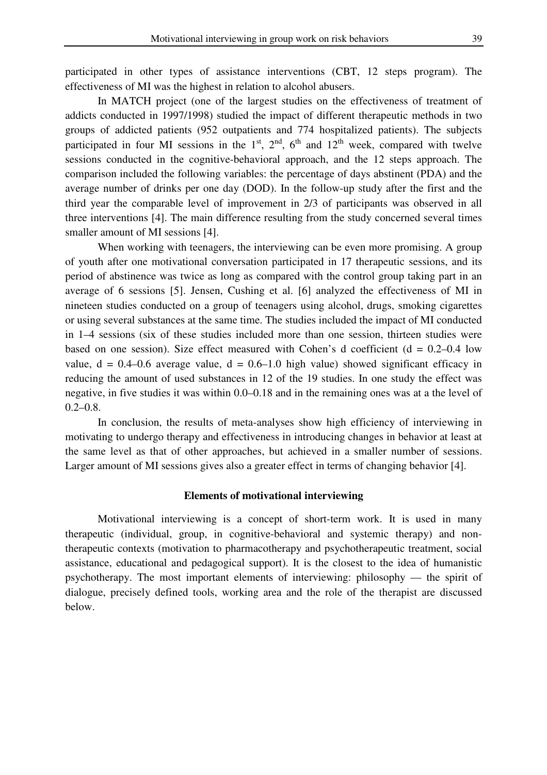participated in other types of assistance interventions (CBT, 12 steps program). The effectiveness of MI was the highest in relation to alcohol abusers.

 In MATCH project (one of the largest studies on the effectiveness of treatment of addicts conducted in 1997/1998) studied the impact of different therapeutic methods in two groups of addicted patients (952 outpatients and 774 hospitalized patients). The subjects participated in four MI sessions in the  $1<sup>st</sup>$ ,  $2<sup>nd</sup>$ ,  $6<sup>th</sup>$  and  $12<sup>th</sup>$  week, compared with twelve sessions conducted in the cognitive-behavioral approach, and the 12 steps approach. The comparison included the following variables: the percentage of days abstinent (PDA) and the average number of drinks per one day (DOD). In the follow-up study after the first and the third year the comparable level of improvement in 2/3 of participants was observed in all three interventions [4]. The main difference resulting from the study concerned several times smaller amount of MI sessions [4].

When working with teenagers, the interviewing can be even more promising. A group of youth after one motivational conversation participated in 17 therapeutic sessions, and its period of abstinence was twice as long as compared with the control group taking part in an average of 6 sessions [5]. Jensen, Cushing et al. [6] analyzed the effectiveness of MI in nineteen studies conducted on a group of teenagers using alcohol, drugs, smoking cigarettes or using several substances at the same time. The studies included the impact of MI conducted in 1–4 sessions (six of these studies included more than one session, thirteen studies were based on one session). Size effect measured with Cohen's d coefficient  $(d = 0.2-0.4$  low value,  $d = 0.4{\text -}0.6$  average value,  $d = 0.6{\text -}1.0$  high value) showed significant efficacy in reducing the amount of used substances in 12 of the 19 studies. In one study the effect was negative, in five studies it was within 0.0–0.18 and in the remaining ones was at a the level of  $0.2 - 0.8$ .

 In conclusion, the results of meta-analyses show high efficiency of interviewing in motivating to undergo therapy and effectiveness in introducing changes in behavior at least at the same level as that of other approaches, but achieved in a smaller number of sessions. Larger amount of MI sessions gives also a greater effect in terms of changing behavior [4].

## **Elements of motivational interviewing**

 Motivational interviewing is a concept of short-term work. It is used in many therapeutic (individual, group, in cognitive-behavioral and systemic therapy) and nontherapeutic contexts (motivation to pharmacotherapy and psychotherapeutic treatment, social assistance, educational and pedagogical support). It is the closest to the idea of humanistic psychotherapy. The most important elements of interviewing: philosophy — the spirit of dialogue, precisely defined tools, working area and the role of the therapist are discussed below.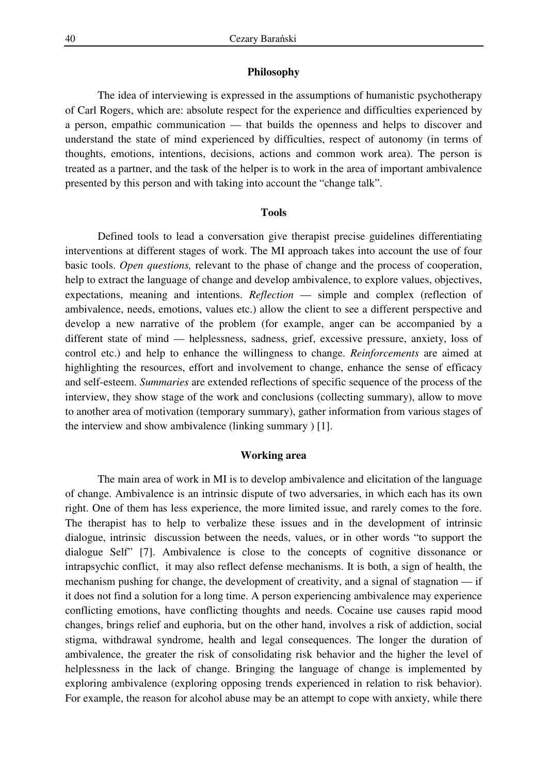## **Philosophy**

 The idea of interviewing is expressed in the assumptions of humanistic psychotherapy of Carl Rogers, which are: absolute respect for the experience and difficulties experienced by a person, empathic communication — that builds the openness and helps to discover and understand the state of mind experienced by difficulties, respect of autonomy (in terms of thoughts, emotions, intentions, decisions, actions and common work area). The person is treated as a partner, and the task of the helper is to work in the area of important ambivalence presented by this person and with taking into account the "change talk".

## **Tools**

 Defined tools to lead a conversation give therapist precise guidelines differentiating interventions at different stages of work. The MI approach takes into account the use of four basic tools. *Open questions,* relevant to the phase of change and the process of cooperation, help to extract the language of change and develop ambivalence, to explore values, objectives, expectations, meaning and intentions. *Reflection* — simple and complex (reflection of ambivalence, needs, emotions, values etc.) allow the client to see a different perspective and develop a new narrative of the problem (for example, anger can be accompanied by a different state of mind — helplessness, sadness, grief, excessive pressure, anxiety, loss of control etc.) and help to enhance the willingness to change. *Reinforcements* are aimed at highlighting the resources, effort and involvement to change, enhance the sense of efficacy and self-esteem. *Summaries* are extended reflections of specific sequence of the process of the interview, they show stage of the work and conclusions (collecting summary), allow to move to another area of motivation (temporary summary), gather information from various stages of the interview and show ambivalence (linking summary ) [1].

## **Working area**

 The main area of work in MI is to develop ambivalence and elicitation of the language of change. Ambivalence is an intrinsic dispute of two adversaries, in which each has its own right. One of them has less experience, the more limited issue, and rarely comes to the fore. The therapist has to help to verbalize these issues and in the development of intrinsic dialogue, intrinsic discussion between the needs, values, or in other words "to support the dialogue Self" [7]. Ambivalence is close to the concepts of cognitive dissonance or intrapsychic conflict, it may also reflect defense mechanisms. It is both, a sign of health, the mechanism pushing for change, the development of creativity, and a signal of stagnation — if it does not find a solution for a long time. A person experiencing ambivalence may experience conflicting emotions, have conflicting thoughts and needs. Cocaine use causes rapid mood changes, brings relief and euphoria, but on the other hand, involves a risk of addiction, social stigma, withdrawal syndrome, health and legal consequences. The longer the duration of ambivalence, the greater the risk of consolidating risk behavior and the higher the level of helplessness in the lack of change. Bringing the language of change is implemented by exploring ambivalence (exploring opposing trends experienced in relation to risk behavior). For example, the reason for alcohol abuse may be an attempt to cope with anxiety, while there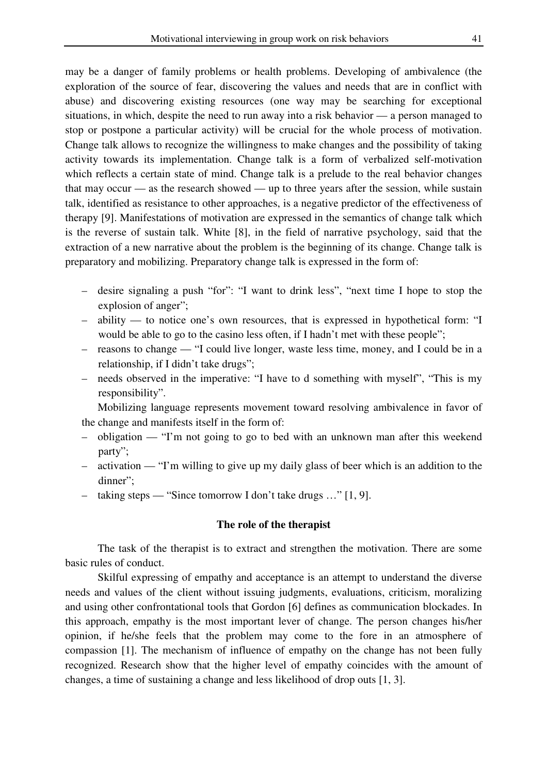may be a danger of family problems or health problems. Developing of ambivalence (the exploration of the source of fear, discovering the values and needs that are in conflict with abuse) and discovering existing resources (one way may be searching for exceptional situations, in which, despite the need to run away into a risk behavior — a person managed to stop or postpone a particular activity) will be crucial for the whole process of motivation. Change talk allows to recognize the willingness to make changes and the possibility of taking activity towards its implementation. Change talk is a form of verbalized self-motivation which reflects a certain state of mind. Change talk is a prelude to the real behavior changes that may occur — as the research showed — up to three years after the session, while sustain talk, identified as resistance to other approaches, is a negative predictor of the effectiveness of therapy [9]. Manifestations of motivation are expressed in the semantics of change talk which is the reverse of sustain talk. White [8], in the field of narrative psychology, said that the extraction of a new narrative about the problem is the beginning of its change. Change talk is preparatory and mobilizing. Preparatory change talk is expressed in the form of:

- desire signaling a push "for": "I want to drink less", "next time I hope to stop the explosion of anger";
- ability to notice one's own resources, that is expressed in hypothetical form: "I would be able to go to the casino less often, if I hadn't met with these people";
- reasons to change "I could live longer, waste less time, money, and I could be in a relationship, if I didn't take drugs";
- needs observed in the imperative: "I have to d something with myself", "This is my responsibility".

 Mobilizing language represents movement toward resolving ambivalence in favor of the change and manifests itself in the form of:

- obligation "I'm not going to go to bed with an unknown man after this weekend party";
- activation "I'm willing to give up my daily glass of beer which is an addition to the dinner";
- taking steps "Since tomorrow I don't take drugs …" [1, 9].

# **The role of the therapist**

 The task of the therapist is to extract and strengthen the motivation. There are some basic rules of conduct.

 Skilful expressing of empathy and acceptance is an attempt to understand the diverse needs and values of the client without issuing judgments, evaluations, criticism, moralizing and using other confrontational tools that Gordon [6] defines as communication blockades. In this approach, empathy is the most important lever of change. The person changes his/her opinion, if he/she feels that the problem may come to the fore in an atmosphere of compassion [1]. The mechanism of influence of empathy on the change has not been fully recognized. Research show that the higher level of empathy coincides with the amount of changes, a time of sustaining a change and less likelihood of drop outs [1, 3].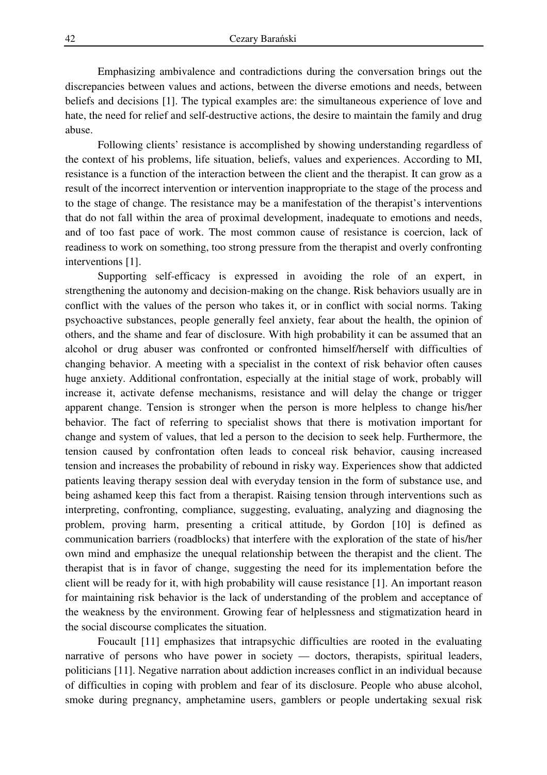Emphasizing ambivalence and contradictions during the conversation brings out the discrepancies between values and actions, between the diverse emotions and needs, between beliefs and decisions [1]. The typical examples are: the simultaneous experience of love and hate, the need for relief and self-destructive actions, the desire to maintain the family and drug abuse.

 Following clients' resistance is accomplished by showing understanding regardless of the context of his problems, life situation, beliefs, values and experiences. According to MI, resistance is a function of the interaction between the client and the therapist. It can grow as a result of the incorrect intervention or intervention inappropriate to the stage of the process and to the stage of change. The resistance may be a manifestation of the therapist's interventions that do not fall within the area of proximal development, inadequate to emotions and needs, and of too fast pace of work. The most common cause of resistance is coercion, lack of readiness to work on something, too strong pressure from the therapist and overly confronting interventions [1].

 Supporting self-efficacy is expressed in avoiding the role of an expert, in strengthening the autonomy and decision-making on the change. Risk behaviors usually are in conflict with the values of the person who takes it, or in conflict with social norms. Taking psychoactive substances, people generally feel anxiety, fear about the health, the opinion of others, and the shame and fear of disclosure. With high probability it can be assumed that an alcohol or drug abuser was confronted or confronted himself/herself with difficulties of changing behavior. A meeting with a specialist in the context of risk behavior often causes huge anxiety. Additional confrontation, especially at the initial stage of work, probably will increase it, activate defense mechanisms, resistance and will delay the change or trigger apparent change. Tension is stronger when the person is more helpless to change his/her behavior. The fact of referring to specialist shows that there is motivation important for change and system of values, that led a person to the decision to seek help. Furthermore, the tension caused by confrontation often leads to conceal risk behavior, causing increased tension and increases the probability of rebound in risky way. Experiences show that addicted patients leaving therapy session deal with everyday tension in the form of substance use, and being ashamed keep this fact from a therapist. Raising tension through interventions such as interpreting, confronting, compliance, suggesting, evaluating, analyzing and diagnosing the problem, proving harm, presenting a critical attitude, by Gordon [10] is defined as communication barriers (roadblocks) that interfere with the exploration of the state of his/her own mind and emphasize the unequal relationship between the therapist and the client. The therapist that is in favor of change, suggesting the need for its implementation before the client will be ready for it, with high probability will cause resistance [1]. An important reason for maintaining risk behavior is the lack of understanding of the problem and acceptance of the weakness by the environment. Growing fear of helplessness and stigmatization heard in the social discourse complicates the situation.

 Foucault [11] emphasizes that intrapsychic difficulties are rooted in the evaluating narrative of persons who have power in society — doctors, therapists, spiritual leaders, politicians [11]. Negative narration about addiction increases conflict in an individual because of difficulties in coping with problem and fear of its disclosure. People who abuse alcohol, smoke during pregnancy, amphetamine users, gamblers or people undertaking sexual risk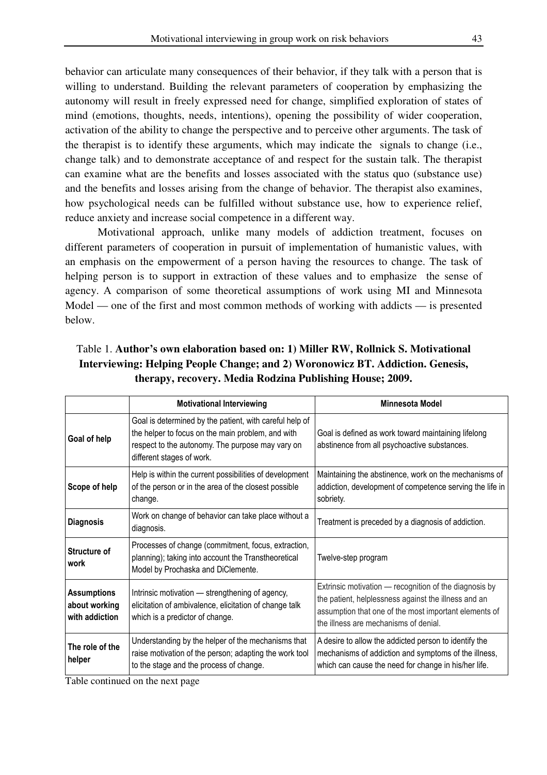behavior can articulate many consequences of their behavior, if they talk with a person that is willing to understand. Building the relevant parameters of cooperation by emphasizing the autonomy will result in freely expressed need for change, simplified exploration of states of mind (emotions, thoughts, needs, intentions), opening the possibility of wider cooperation, activation of the ability to change the perspective and to perceive other arguments. The task of the therapist is to identify these arguments, which may indicate the signals to change (i.e., change talk) and to demonstrate acceptance of and respect for the sustain talk. The therapist can examine what are the benefits and losses associated with the status quo (substance use) and the benefits and losses arising from the change of behavior. The therapist also examines, how psychological needs can be fulfilled without substance use, how to experience relief, reduce anxiety and increase social competence in a different way.

 Motivational approach, unlike many models of addiction treatment, focuses on different parameters of cooperation in pursuit of implementation of humanistic values, with an emphasis on the empowerment of a person having the resources to change. The task of helping person is to support in extraction of these values and to emphasize the sense of agency. A comparison of some theoretical assumptions of work using MI and Minnesota Model — one of the first and most common methods of working with addicts — is presented below.

|                                                       | <b>Motivational Interviewing</b>                                                                                                                                                              | Minnesota Model                                                                                                                                                                                                  |
|-------------------------------------------------------|-----------------------------------------------------------------------------------------------------------------------------------------------------------------------------------------------|------------------------------------------------------------------------------------------------------------------------------------------------------------------------------------------------------------------|
| Goal of help                                          | Goal is determined by the patient, with careful help of<br>the helper to focus on the main problem, and with<br>respect to the autonomy. The purpose may vary on<br>different stages of work. | Goal is defined as work toward maintaining lifelong<br>abstinence from all psychoactive substances.                                                                                                              |
| Scope of help                                         | Help is within the current possibilities of development<br>of the person or in the area of the closest possible<br>change.                                                                    | Maintaining the abstinence, work on the mechanisms of<br>addiction, development of competence serving the life in<br>sobriety.                                                                                   |
| <b>Diagnosis</b>                                      | Work on change of behavior can take place without a<br>diagnosis.                                                                                                                             | Treatment is preceded by a diagnosis of addiction.                                                                                                                                                               |
| Structure of<br>work                                  | Processes of change (commitment, focus, extraction,<br>planning); taking into account the Transtheoretical<br>Model by Prochaska and DiClemente.                                              | Twelve-step program                                                                                                                                                                                              |
| <b>Assumptions</b><br>about working<br>with addiction | Intrinsic motivation - strengthening of agency,<br>elicitation of ambivalence, elicitation of change talk<br>which is a predictor of change.                                                  | Extrinsic motivation — recognition of the diagnosis by<br>the patient, helplessness against the illness and an<br>assumption that one of the most important elements of<br>the illness are mechanisms of denial. |
| The role of the<br>helper                             | Understanding by the helper of the mechanisms that<br>raise motivation of the person; adapting the work tool<br>to the stage and the process of change.                                       | A desire to allow the addicted person to identify the<br>mechanisms of addiction and symptoms of the illness,<br>which can cause the need for change in his/her life.                                            |

Table 1. **Author's own elaboration based on: 1) Miller RW, Rollnick S. Motivational Interviewing: Helping People Change; and 2) Woronowicz BT. Addiction. Genesis, therapy, recovery. Media Rodzina Publishing House; 2009.** 

Table continued on the next page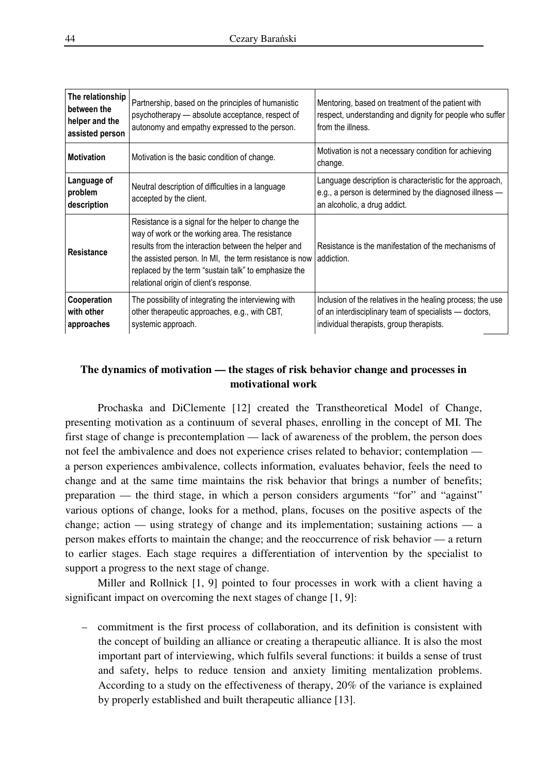| The relationship<br>between the<br>helper and the<br>assisted person | Partnership, based on the principles of humanistic<br>psychotherapy - absolute acceptance, respect of<br>autonomy and empathy expressed to the person.                                                                                                                                                                     | Mentoring, based on treatment of the patient with<br>respect, understanding and dignity for people who suffer<br>from the illness.                               |
|----------------------------------------------------------------------|----------------------------------------------------------------------------------------------------------------------------------------------------------------------------------------------------------------------------------------------------------------------------------------------------------------------------|------------------------------------------------------------------------------------------------------------------------------------------------------------------|
| <b>Motivation</b>                                                    | Motivation is the basic condition of change.                                                                                                                                                                                                                                                                               | Motivation is not a necessary condition for achieving<br>change.                                                                                                 |
| Language of<br>problem<br>description                                | Neutral description of difficulties in a language<br>accepted by the client.                                                                                                                                                                                                                                               | Language description is characteristic for the approach,<br>e.g., a person is determined by the diagnosed illness -<br>an alcoholic, a drug addict.              |
| Resistance                                                           | Resistance is a signal for the helper to change the<br>way of work or the working area. The resistance<br>results from the interaction between the helper and<br>the assisted person. In MI, the term resistance is now<br>replaced by the term "sustain talk" to emphasize the<br>relational origin of client's response. | Resistance is the manifestation of the mechanisms of<br>addiction.                                                                                               |
| Cooperation<br>with other<br>approaches                              | The possibility of integrating the interviewing with<br>other therapeutic approaches, e.g., with CBT,<br>systemic approach.                                                                                                                                                                                                | Inclusion of the relatives in the healing process; the use<br>of an interdisciplinary team of specialists - doctors,<br>individual therapists, group therapists. |

# **The dynamics of motivation — the stages of risk behavior change and processes in motivational work**

 Prochaska and DiClemente [12] created the Transtheoretical Model of Change, presenting motivation as a continuum of several phases, enrolling in the concept of MI. The first stage of change is precontemplation — lack of awareness of the problem, the person does not feel the ambivalence and does not experience crises related to behavior; contemplation a person experiences ambivalence, collects information, evaluates behavior, feels the need to change and at the same time maintains the risk behavior that brings a number of benefits; preparation — the third stage, in which a person considers arguments "for" and "against" various options of change, looks for a method, plans, focuses on the positive aspects of the change; action — using strategy of change and its implementation; sustaining actions — a person makes efforts to maintain the change; and the reoccurrence of risk behavior — a return to earlier stages. Each stage requires a differentiation of intervention by the specialist to support a progress to the next stage of change.

 Miller and Rollnick [1, 9] pointed to four processes in work with a client having a significant impact on overcoming the next stages of change [1, 9]:

– commitment is the first process of collaboration, and its definition is consistent with the concept of building an alliance or creating a therapeutic alliance. It is also the most important part of interviewing, which fulfils several functions: it builds a sense of trust and safety, helps to reduce tension and anxiety limiting mentalization problems. According to a study on the effectiveness of therapy, 20% of the variance is explained by properly established and built therapeutic alliance [13].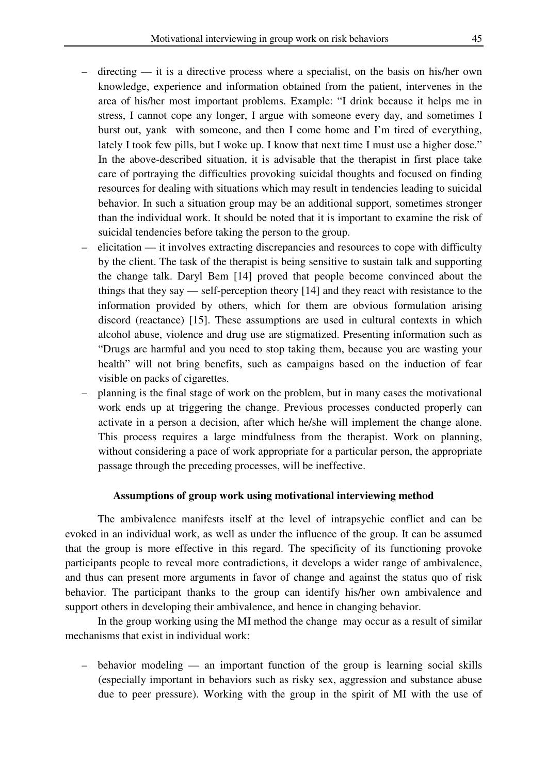- directing it is a directive process where a specialist, on the basis on his/her own knowledge, experience and information obtained from the patient, intervenes in the area of his/her most important problems. Example: "I drink because it helps me in stress, I cannot cope any longer, I argue with someone every day, and sometimes I burst out, yank with someone, and then I come home and I'm tired of everything, lately I took few pills, but I woke up. I know that next time I must use a higher dose." In the above-described situation, it is advisable that the therapist in first place take care of portraying the difficulties provoking suicidal thoughts and focused on finding resources for dealing with situations which may result in tendencies leading to suicidal behavior. In such a situation group may be an additional support, sometimes stronger than the individual work. It should be noted that it is important to examine the risk of suicidal tendencies before taking the person to the group.
- elicitation it involves extracting discrepancies and resources to cope with difficulty by the client. The task of the therapist is being sensitive to sustain talk and supporting the change talk. Daryl Bem [14] proved that people become convinced about the things that they say — self-perception theory [14] and they react with resistance to the information provided by others, which for them are obvious formulation arising discord (reactance) [15]. These assumptions are used in cultural contexts in which alcohol abuse, violence and drug use are stigmatized. Presenting information such as "Drugs are harmful and you need to stop taking them, because you are wasting your health" will not bring benefits, such as campaigns based on the induction of fear visible on packs of cigarettes.
- planning is the final stage of work on the problem, but in many cases the motivational work ends up at triggering the change. Previous processes conducted properly can activate in a person a decision, after which he/she will implement the change alone. This process requires a large mindfulness from the therapist. Work on planning, without considering a pace of work appropriate for a particular person, the appropriate passage through the preceding processes, will be ineffective.

# **Assumptions of group work using motivational interviewing method**

 The ambivalence manifests itself at the level of intrapsychic conflict and can be evoked in an individual work, as well as under the influence of the group. It can be assumed that the group is more effective in this regard. The specificity of its functioning provoke participants people to reveal more contradictions, it develops a wider range of ambivalence, and thus can present more arguments in favor of change and against the status quo of risk behavior. The participant thanks to the group can identify his/her own ambivalence and support others in developing their ambivalence, and hence in changing behavior.

 In the group working using the MI method the change may occur as a result of similar mechanisms that exist in individual work:

– behavior modeling — an important function of the group is learning social skills (especially important in behaviors such as risky sex, aggression and substance abuse due to peer pressure). Working with the group in the spirit of MI with the use of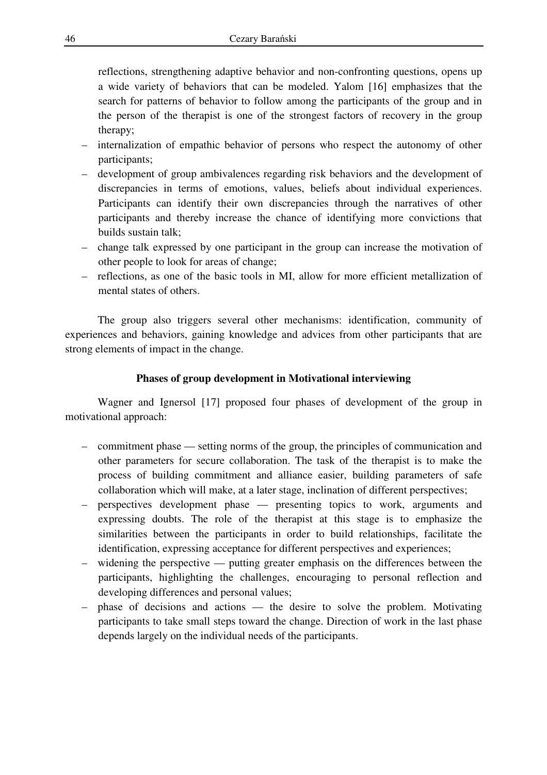reflections, strengthening adaptive behavior and non-confronting questions, opens up a wide variety of behaviors that can be modeled. Yalom [16] emphasizes that the search for patterns of behavior to follow among the participants of the group and in the person of the therapist is one of the strongest factors of recovery in the group therapy;

- internalization of empathic behavior of persons who respect the autonomy of other participants;
- development of group ambivalences regarding risk behaviors and the development of discrepancies in terms of emotions, values, beliefs about individual experiences. Participants can identify their own discrepancies through the narratives of other participants and thereby increase the chance of identifying more convictions that builds sustain talk;
- change talk expressed by one participant in the group can increase the motivation of other people to look for areas of change;
- reflections, as one of the basic tools in MI, allow for more efficient metallization of mental states of others.

 The group also triggers several other mechanisms: identification, community of experiences and behaviors, gaining knowledge and advices from other participants that are strong elements of impact in the change.

# **Phases of group development in Motivational interviewing**

 Wagner and Ignersol [17] proposed four phases of development of the group in motivational approach:

- commitment phase setting norms of the group, the principles of communication and other parameters for secure collaboration. The task of the therapist is to make the process of building commitment and alliance easier, building parameters of safe collaboration which will make, at a later stage, inclination of different perspectives;
- perspectives development phase presenting topics to work, arguments and expressing doubts. The role of the therapist at this stage is to emphasize the similarities between the participants in order to build relationships, facilitate the identification, expressing acceptance for different perspectives and experiences;
- widening the perspective putting greater emphasis on the differences between the participants, highlighting the challenges, encouraging to personal reflection and developing differences and personal values;
- phase of decisions and actions the desire to solve the problem. Motivating participants to take small steps toward the change. Direction of work in the last phase depends largely on the individual needs of the participants.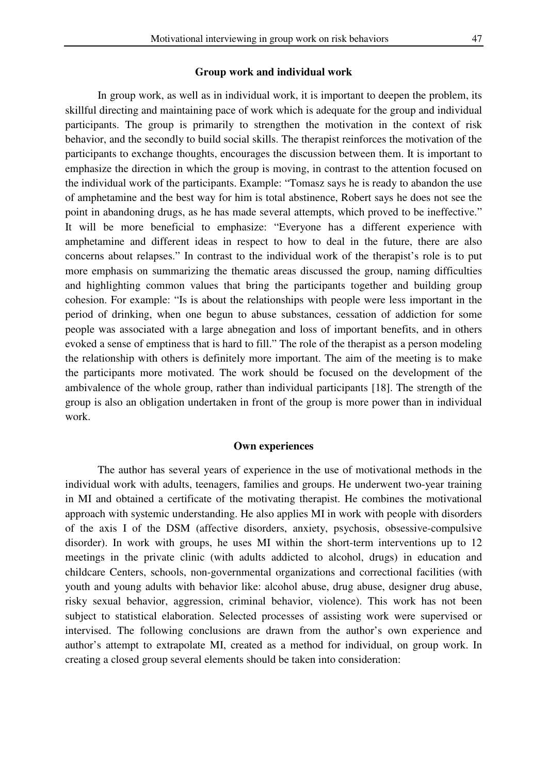## **Group work and individual work**

 In group work, as well as in individual work, it is important to deepen the problem, its skillful directing and maintaining pace of work which is adequate for the group and individual participants. The group is primarily to strengthen the motivation in the context of risk behavior, and the secondly to build social skills. The therapist reinforces the motivation of the participants to exchange thoughts, encourages the discussion between them. It is important to emphasize the direction in which the group is moving, in contrast to the attention focused on the individual work of the participants. Example: "Tomasz says he is ready to abandon the use of amphetamine and the best way for him is total abstinence, Robert says he does not see the point in abandoning drugs, as he has made several attempts, which proved to be ineffective." It will be more beneficial to emphasize: "Everyone has a different experience with amphetamine and different ideas in respect to how to deal in the future, there are also concerns about relapses." In contrast to the individual work of the therapist's role is to put more emphasis on summarizing the thematic areas discussed the group, naming difficulties and highlighting common values that bring the participants together and building group cohesion. For example: "Is is about the relationships with people were less important in the period of drinking, when one begun to abuse substances, cessation of addiction for some people was associated with a large abnegation and loss of important benefits, and in others evoked a sense of emptiness that is hard to fill." The role of the therapist as a person modeling the relationship with others is definitely more important. The aim of the meeting is to make the participants more motivated. The work should be focused on the development of the ambivalence of the whole group, rather than individual participants [18]. The strength of the group is also an obligation undertaken in front of the group is more power than in individual work.

#### **Own experiences**

 The author has several years of experience in the use of motivational methods in the individual work with adults, teenagers, families and groups. He underwent two-year training in MI and obtained a certificate of the motivating therapist. He combines the motivational approach with systemic understanding. He also applies MI in work with people with disorders of the axis I of the DSM (affective disorders, anxiety, psychosis, obsessive-compulsive disorder). In work with groups, he uses MI within the short-term interventions up to 12 meetings in the private clinic (with adults addicted to alcohol, drugs) in education and childcare Centers, schools, non-governmental organizations and correctional facilities (with youth and young adults with behavior like: alcohol abuse, drug abuse, designer drug abuse, risky sexual behavior, aggression, criminal behavior, violence). This work has not been subject to statistical elaboration. Selected processes of assisting work were supervised or intervised. The following conclusions are drawn from the author's own experience and author's attempt to extrapolate MI, created as a method for individual, on group work. In creating a closed group several elements should be taken into consideration: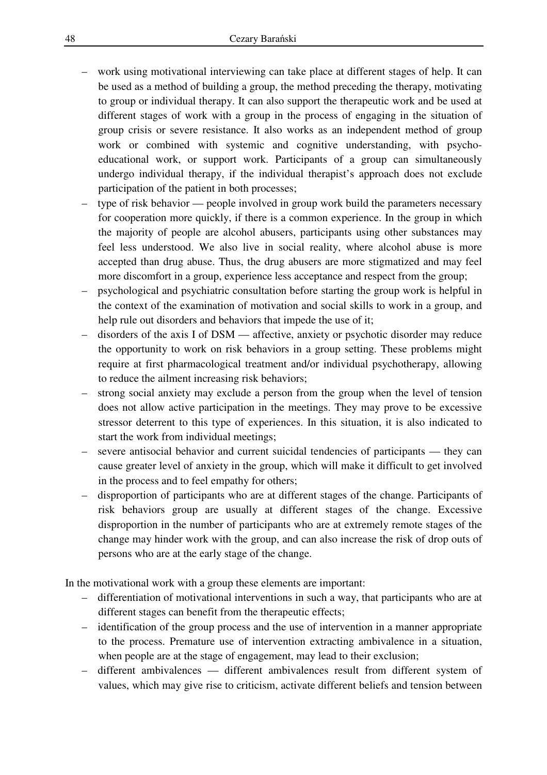- work using motivational interviewing can take place at different stages of help. It can be used as a method of building a group, the method preceding the therapy, motivating to group or individual therapy. It can also support the therapeutic work and be used at different stages of work with a group in the process of engaging in the situation of group crisis or severe resistance. It also works as an independent method of group work or combined with systemic and cognitive understanding, with psychoeducational work, or support work. Participants of a group can simultaneously undergo individual therapy, if the individual therapist's approach does not exclude participation of the patient in both processes;
- type of risk behavior people involved in group work build the parameters necessary for cooperation more quickly, if there is a common experience. In the group in which the majority of people are alcohol abusers, participants using other substances may feel less understood. We also live in social reality, where alcohol abuse is more accepted than drug abuse. Thus, the drug abusers are more stigmatized and may feel more discomfort in a group, experience less acceptance and respect from the group;
- psychological and psychiatric consultation before starting the group work is helpful in the context of the examination of motivation and social skills to work in a group, and help rule out disorders and behaviors that impede the use of it;
- disorders of the axis I of DSM affective, anxiety or psychotic disorder may reduce the opportunity to work on risk behaviors in a group setting. These problems might require at first pharmacological treatment and/or individual psychotherapy, allowing to reduce the ailment increasing risk behaviors;
- strong social anxiety may exclude a person from the group when the level of tension does not allow active participation in the meetings. They may prove to be excessive stressor deterrent to this type of experiences. In this situation, it is also indicated to start the work from individual meetings;
- severe antisocial behavior and current suicidal tendencies of participants they can cause greater level of anxiety in the group, which will make it difficult to get involved in the process and to feel empathy for others;
- disproportion of participants who are at different stages of the change. Participants of risk behaviors group are usually at different stages of the change. Excessive disproportion in the number of participants who are at extremely remote stages of the change may hinder work with the group, and can also increase the risk of drop outs of persons who are at the early stage of the change.

In the motivational work with a group these elements are important:

- differentiation of motivational interventions in such a way, that participants who are at different stages can benefit from the therapeutic effects;
- identification of the group process and the use of intervention in a manner appropriate to the process. Premature use of intervention extracting ambivalence in a situation, when people are at the stage of engagement, may lead to their exclusion;
- different ambivalences different ambivalences result from different system of values, which may give rise to criticism, activate different beliefs and tension between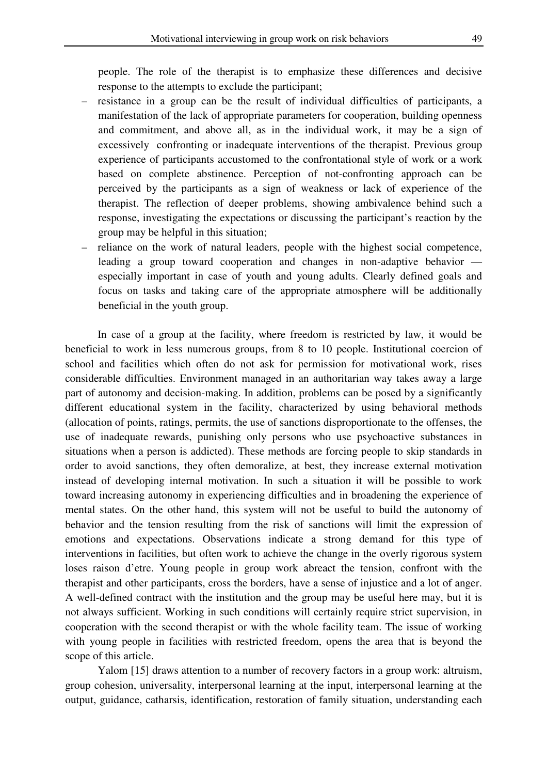people. The role of the therapist is to emphasize these differences and decisive response to the attempts to exclude the participant;

- resistance in a group can be the result of individual difficulties of participants, a manifestation of the lack of appropriate parameters for cooperation, building openness and commitment, and above all, as in the individual work, it may be a sign of excessively confronting or inadequate interventions of the therapist. Previous group experience of participants accustomed to the confrontational style of work or a work based on complete abstinence. Perception of not-confronting approach can be perceived by the participants as a sign of weakness or lack of experience of the therapist. The reflection of deeper problems, showing ambivalence behind such a response, investigating the expectations or discussing the participant's reaction by the group may be helpful in this situation;
- reliance on the work of natural leaders, people with the highest social competence, leading a group toward cooperation and changes in non-adaptive behavior especially important in case of youth and young adults. Clearly defined goals and focus on tasks and taking care of the appropriate atmosphere will be additionally beneficial in the youth group.

 In case of a group at the facility, where freedom is restricted by law, it would be beneficial to work in less numerous groups, from 8 to 10 people. Institutional coercion of school and facilities which often do not ask for permission for motivational work, rises considerable difficulties. Environment managed in an authoritarian way takes away a large part of autonomy and decision-making. In addition, problems can be posed by a significantly different educational system in the facility, characterized by using behavioral methods (allocation of points, ratings, permits, the use of sanctions disproportionate to the offenses, the use of inadequate rewards, punishing only persons who use psychoactive substances in situations when a person is addicted). These methods are forcing people to skip standards in order to avoid sanctions, they often demoralize, at best, they increase external motivation instead of developing internal motivation. In such a situation it will be possible to work toward increasing autonomy in experiencing difficulties and in broadening the experience of mental states. On the other hand, this system will not be useful to build the autonomy of behavior and the tension resulting from the risk of sanctions will limit the expression of emotions and expectations. Observations indicate a strong demand for this type of interventions in facilities, but often work to achieve the change in the overly rigorous system loses raison d'etre. Young people in group work abreact the tension, confront with the therapist and other participants, cross the borders, have a sense of injustice and a lot of anger. A well-defined contract with the institution and the group may be useful here may, but it is not always sufficient. Working in such conditions will certainly require strict supervision, in cooperation with the second therapist or with the whole facility team. The issue of working with young people in facilities with restricted freedom, opens the area that is beyond the scope of this article.

 Yalom [15] draws attention to a number of recovery factors in a group work: altruism, group cohesion, universality, interpersonal learning at the input, interpersonal learning at the output, guidance, catharsis, identification, restoration of family situation, understanding each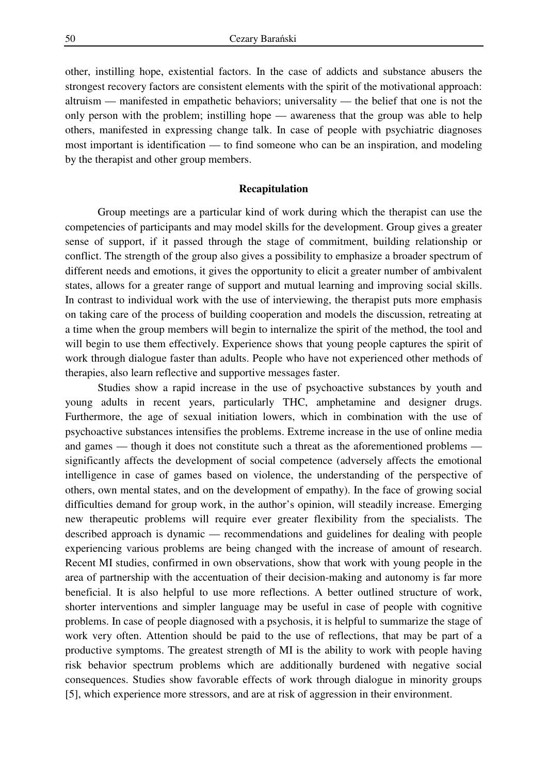other, instilling hope, existential factors. In the case of addicts and substance abusers the strongest recovery factors are consistent elements with the spirit of the motivational approach: altruism — manifested in empathetic behaviors; universality — the belief that one is not the only person with the problem; instilling hope — awareness that the group was able to help others, manifested in expressing change talk. In case of people with psychiatric diagnoses most important is identification — to find someone who can be an inspiration, and modeling by the therapist and other group members.

# **Recapitulation**

 Group meetings are a particular kind of work during which the therapist can use the competencies of participants and may model skills for the development. Group gives a greater sense of support, if it passed through the stage of commitment, building relationship or conflict. The strength of the group also gives a possibility to emphasize a broader spectrum of different needs and emotions, it gives the opportunity to elicit a greater number of ambivalent states, allows for a greater range of support and mutual learning and improving social skills. In contrast to individual work with the use of interviewing, the therapist puts more emphasis on taking care of the process of building cooperation and models the discussion, retreating at a time when the group members will begin to internalize the spirit of the method, the tool and will begin to use them effectively. Experience shows that young people captures the spirit of work through dialogue faster than adults. People who have not experienced other methods of therapies, also learn reflective and supportive messages faster.

 Studies show a rapid increase in the use of psychoactive substances by youth and young adults in recent years, particularly THC, amphetamine and designer drugs. Furthermore, the age of sexual initiation lowers, which in combination with the use of psychoactive substances intensifies the problems. Extreme increase in the use of online media and games — though it does not constitute such a threat as the aforementioned problems significantly affects the development of social competence (adversely affects the emotional intelligence in case of games based on violence, the understanding of the perspective of others, own mental states, and on the development of empathy). In the face of growing social difficulties demand for group work, in the author's opinion, will steadily increase. Emerging new therapeutic problems will require ever greater flexibility from the specialists. The described approach is dynamic — recommendations and guidelines for dealing with people experiencing various problems are being changed with the increase of amount of research. Recent MI studies, confirmed in own observations, show that work with young people in the area of partnership with the accentuation of their decision-making and autonomy is far more beneficial. It is also helpful to use more reflections. A better outlined structure of work, shorter interventions and simpler language may be useful in case of people with cognitive problems. In case of people diagnosed with a psychosis, it is helpful to summarize the stage of work very often. Attention should be paid to the use of reflections, that may be part of a productive symptoms. The greatest strength of MI is the ability to work with people having risk behavior spectrum problems which are additionally burdened with negative social consequences. Studies show favorable effects of work through dialogue in minority groups [5], which experience more stressors, and are at risk of aggression in their environment.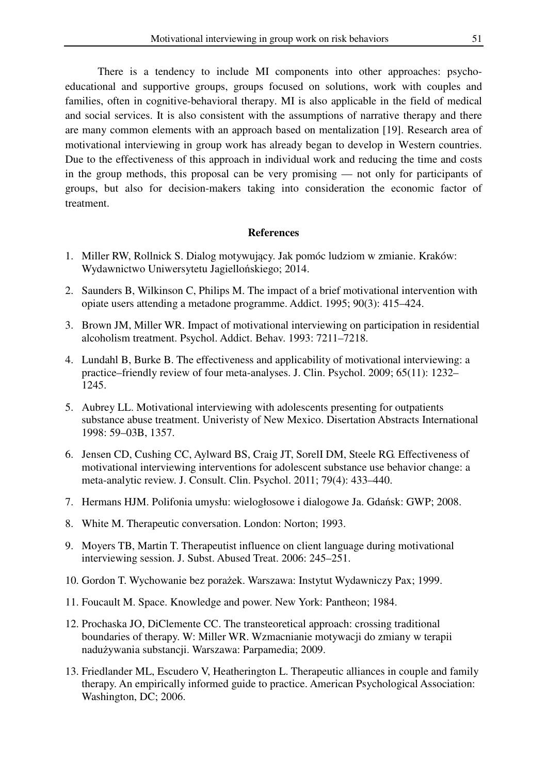There is a tendency to include MI components into other approaches: psychoeducational and supportive groups, groups focused on solutions, work with couples and families, often in cognitive-behavioral therapy. MI is also applicable in the field of medical and social services. It is also consistent with the assumptions of narrative therapy and there are many common elements with an approach based on mentalization [19]. Research area of motivational interviewing in group work has already began to develop in Western countries. Due to the effectiveness of this approach in individual work and reducing the time and costs in the group methods, this proposal can be very promising — not only for participants of groups, but also for decision-makers taking into consideration the economic factor of treatment.

#### **References**

- 1. Miller RW, Rollnick S. Dialog motywujący. Jak pomóc ludziom w zmianie. Kraków: Wydawnictwo Uniwersytetu Jagiellońskiego; 2014.
- 2. Saunders B, Wilkinson C, Philips M. The impact of a brief motivational intervention with opiate users attending a metadone programme. Addict. 1995; 90(3): 415–424.
- 3. Brown JM, Miller WR. Impact of motivational interviewing on participation in residential alcoholism treatment. Psychol. Addict. Behav. 1993: 7211–7218.
- 4. Lundahl B, Burke B. The effectiveness and applicability of motivational interviewing: a practice–friendly review of four meta-analyses. J. Clin. Psychol. 2009; 65(11): 1232– 1245.
- 5. Aubrey LL. Motivational interviewing with adolescents presenting for outpatients substance abuse treatment. Univeristy of New Mexico. Disertation Abstracts International 1998: 59–03B, 1357.
- 6. Jensen CD, Cushing CC, Aylward BS, Craig JT, SorelI DM, Steele RG. Effectiveness of motivational interviewing interventions for adolescent substance use behavior change: a meta-analytic review. J. Consult. Clin. Psychol. 2011; 79(4): 433–440.
- 7. Hermans HJM. Polifonia umysłu: wielogłosowe i dialogowe Ja. Gdańsk: GWP; 2008.
- 8. White M. Therapeutic conversation. London: Norton; 1993.
- 9. Moyers TB, Martin T. Therapeutist influence on client language during motivational interviewing session. J. Subst. Abused Treat. 2006: 245–251.
- 10. Gordon T. Wychowanie bez porażek. Warszawa: Instytut Wydawniczy Pax; 1999.
- 11. Foucault M. Space. Knowledge and power. New York: Pantheon; 1984.
- 12. Prochaska JO, DiClemente CC. The transteoretical approach: crossing traditional boundaries of therapy. W: Miller WR. Wzmacnianie motywacji do zmiany w terapii nadużywania substancji. Warszawa: Parpamedia; 2009.
- 13. Friedlander ML, Escudero V, Heatherington L. Therapeutic alliances in couple and family therapy. An empirically informed guide to practice. American Psychological Association: Washington, DC; 2006.